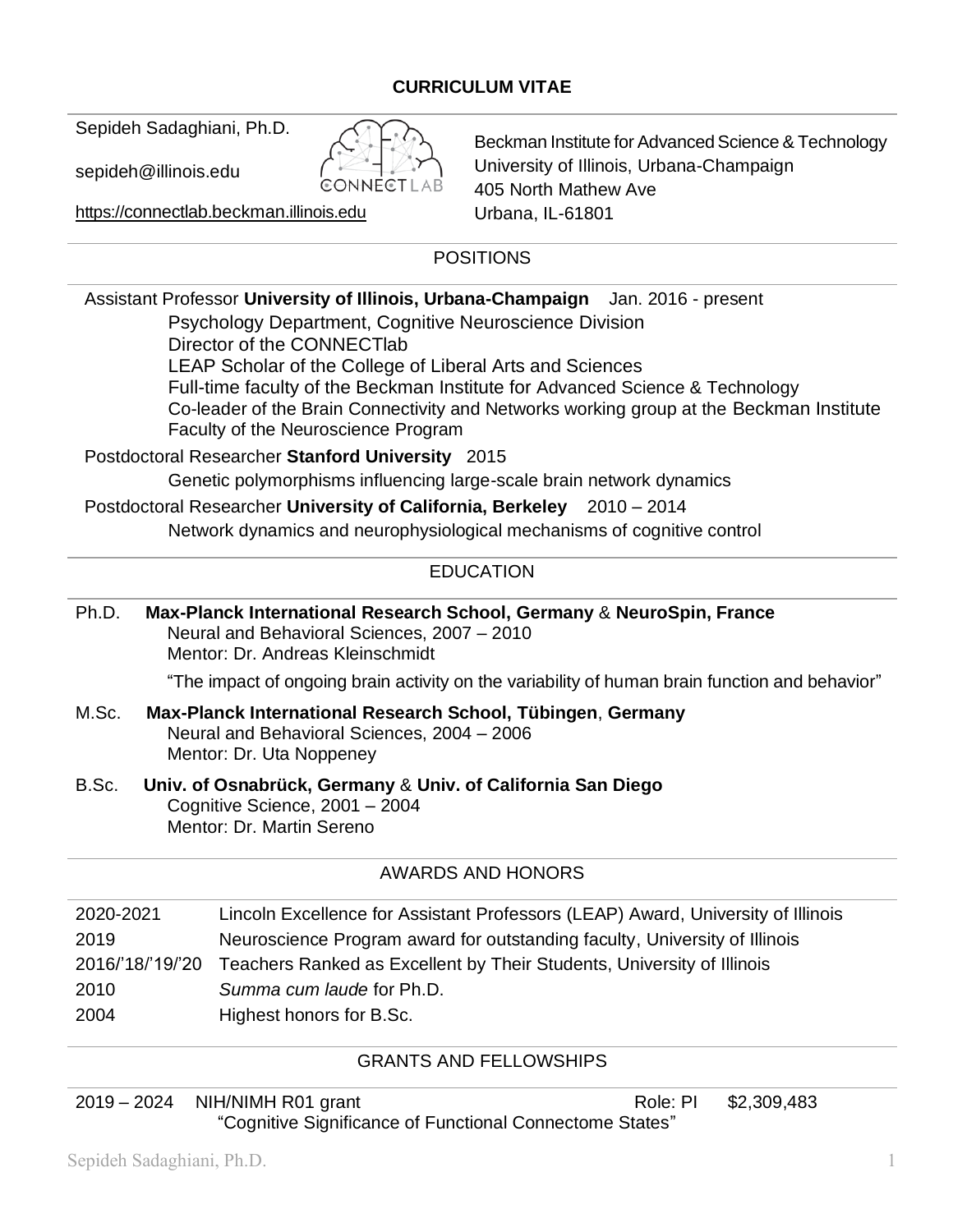## **CURRICULUM VITAE**

Sepideh Sadaghiani, Ph.D.

sepideh@illinois.edu

https://[connectlab](https://connectlab.beckman.illinois.edu/).beckman.illinois.edu

Beckman Institute for Advanced Science & Technology University of Illinois, Urbana-Champaign 405 North Mathew Ave Urbana, IL-61801

# POSITIONS

E€

| Assistant Professor University of Illinois, Urbana-Champaign Jan. 2016 - present<br>Psychology Department, Cognitive Neuroscience Division<br>Director of the CONNECTIab<br>LEAP Scholar of the College of Liberal Arts and Sciences<br>Full-time faculty of the Beckman Institute for Advanced Science & Technology<br>Co-leader of the Brain Connectivity and Networks working group at the Beckman Institute<br>Faculty of the Neuroscience Program |                                                                                                                                        |  |  |
|--------------------------------------------------------------------------------------------------------------------------------------------------------------------------------------------------------------------------------------------------------------------------------------------------------------------------------------------------------------------------------------------------------------------------------------------------------|----------------------------------------------------------------------------------------------------------------------------------------|--|--|
| Postdoctoral Researcher Stanford University 2015                                                                                                                                                                                                                                                                                                                                                                                                       |                                                                                                                                        |  |  |
| Genetic polymorphisms influencing large-scale brain network dynamics                                                                                                                                                                                                                                                                                                                                                                                   |                                                                                                                                        |  |  |
| Postdoctoral Researcher University of California, Berkeley 2010 - 2014                                                                                                                                                                                                                                                                                                                                                                                 |                                                                                                                                        |  |  |
| Network dynamics and neurophysiological mechanisms of cognitive control                                                                                                                                                                                                                                                                                                                                                                                |                                                                                                                                        |  |  |
|                                                                                                                                                                                                                                                                                                                                                                                                                                                        | <b>EDUCATION</b>                                                                                                                       |  |  |
| Ph.D.<br>Max-Planck International Research School, Germany & NeuroSpin, France<br>Neural and Behavioral Sciences, 2007 - 2010<br>Mentor: Dr. Andreas Kleinschmidt                                                                                                                                                                                                                                                                                      |                                                                                                                                        |  |  |
|                                                                                                                                                                                                                                                                                                                                                                                                                                                        | "The impact of ongoing brain activity on the variability of human brain function and behavior"                                         |  |  |
| M.Sc.                                                                                                                                                                                                                                                                                                                                                                                                                                                  | Max-Planck International Research School, Tübingen, Germany<br>Neural and Behavioral Sciences, 2004 - 2006<br>Mentor: Dr. Uta Noppeney |  |  |
| B.Sc.<br>Univ. of Osnabrück, Germany & Univ. of California San Diego<br>Cognitive Science, 2001 - 2004<br>Mentor: Dr. Martin Sereno                                                                                                                                                                                                                                                                                                                    |                                                                                                                                        |  |  |
|                                                                                                                                                                                                                                                                                                                                                                                                                                                        | <b>AWARDS AND HONORS</b>                                                                                                               |  |  |
| 2020-2021                                                                                                                                                                                                                                                                                                                                                                                                                                              | Lincoln Excellence for Assistant Professors (LEAP) Award, University of Illinois                                                       |  |  |
| 2019                                                                                                                                                                                                                                                                                                                                                                                                                                                   | Neuroscience Program award for outstanding faculty, University of Illinois                                                             |  |  |
| 2016/'18/'19/'20                                                                                                                                                                                                                                                                                                                                                                                                                                       | Teachers Ranked as Excellent by Their Students, University of Illinois                                                                 |  |  |

2010 *Summa cum laude* for Ph.D.

2004 Highest honors for B.Sc.

## GRANTS AND FELLOWSHIPS

2019 – 2024 NIH/NIMH R01 grant Research Role: PI \$2,309,483 "Cognitive Significance of Functional Connectome States"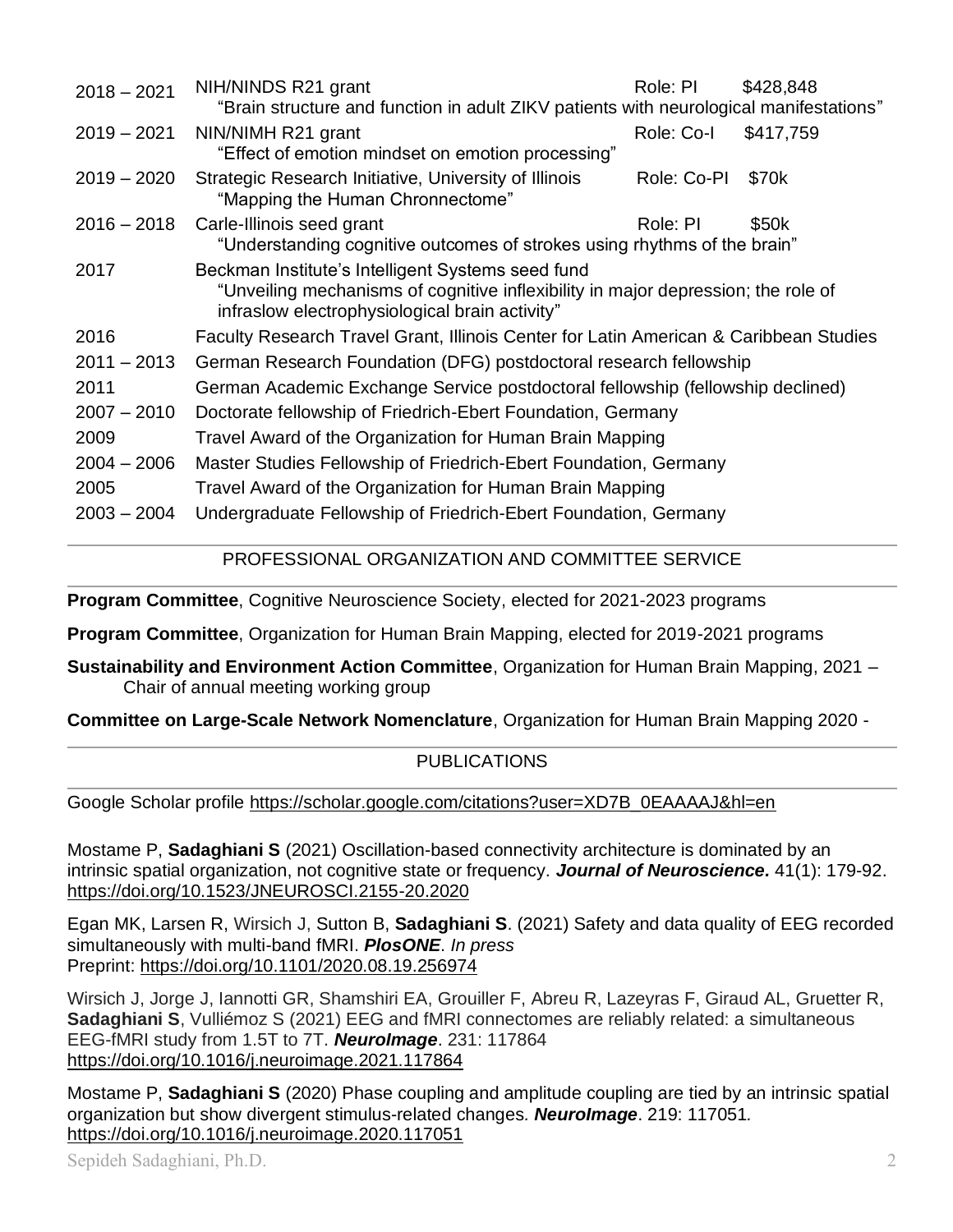| $2018 - 2021$ | NIH/NINDS R21 grant<br>"Brain structure and function in adult ZIKV patients with neurological manifestations"                                                                            | Role: PI    | \$428,848         |
|---------------|------------------------------------------------------------------------------------------------------------------------------------------------------------------------------------------|-------------|-------------------|
| $2019 - 2021$ | NIN/NIMH R21 grant<br>"Effect of emotion mindset on emotion processing"                                                                                                                  | Role: Co-I  | \$417,759         |
| $2019 - 2020$ | Strategic Research Initiative, University of Illinois<br>"Mapping the Human Chronnectome"                                                                                                | Role: Co-PI | \$70 <sub>k</sub> |
| $2016 - 2018$ | Carle-Illinois seed grant<br>"Understanding cognitive outcomes of strokes using rhythms of the brain"                                                                                    | Role: PI    | \$50k             |
| 2017          | Beckman Institute's Intelligent Systems seed fund<br>"Unveiling mechanisms of cognitive inflexibility in major depression; the role of<br>infraslow electrophysiological brain activity" |             |                   |
| 2016          | Faculty Research Travel Grant, Illinois Center for Latin American & Caribbean Studies                                                                                                    |             |                   |
| $2011 - 2013$ | German Research Foundation (DFG) postdoctoral research fellowship                                                                                                                        |             |                   |
| 2011          | German Academic Exchange Service postdoctoral fellowship (fellowship declined)                                                                                                           |             |                   |
| $2007 - 2010$ | Doctorate fellowship of Friedrich-Ebert Foundation, Germany                                                                                                                              |             |                   |
| 2009          | Travel Award of the Organization for Human Brain Mapping                                                                                                                                 |             |                   |
| $2004 - 2006$ | Master Studies Fellowship of Friedrich-Ebert Foundation, Germany                                                                                                                         |             |                   |
| 2005          | Travel Award of the Organization for Human Brain Mapping                                                                                                                                 |             |                   |
| $2003 - 2004$ | Undergraduate Fellowship of Friedrich-Ebert Foundation, Germany                                                                                                                          |             |                   |

## PROFESSIONAL ORGANIZATION AND COMMITTEE SERVICE

**Program Committee**, Cognitive Neuroscience Society, elected for 2021-2023 programs

**Program Committee**, Organization for Human Brain Mapping, elected for 2019-2021 programs

**Sustainability and Environment Action Committee**, Organization for Human Brain Mapping, 2021 – Chair of annual meeting working group

**Committee on Large-Scale Network Nomenclature**, Organization for Human Brain Mapping 2020 -

## PUBLICATIONS

Google Scholar profile [https://scholar.google.com/citations?user=XD7B\\_0EAAAAJ&hl=en](https://scholar.google.com/citations?user=XD7B_0EAAAAJ&hl=en)

Mostame P, **Sadaghiani S** (2021) Oscillation-based connectivity architecture is dominated by an intrinsic spatial organization, not cognitive state or frequency. *Journal of Neuroscience.* 41(1): 179-92. <https://doi.org/10.1523/JNEUROSCI.2155-20.2020>

Egan MK, Larsen R, Wirsich J, Sutton B, **Sadaghiani S**. (2021) Safety and data quality of EEG recorded simultaneously with multi-band fMRI. *PlosONE*. *In press* Preprint:<https://doi.org/10.1101/2020.08.19.256974>

Wirsich J, Jorge J, Iannotti GR, Shamshiri EA, Grouiller F, Abreu R, Lazeyras F, Giraud AL, Gruetter R, **Sadaghiani S**, Vulliémoz S (2021) EEG and fMRI connectomes are reliably related: a simultaneous EEG-fMRI study from 1.5T to 7T. *NeuroImage*. 231: 117864 <https://doi.org/10.1016/j.neuroimage.2021.117864>

Mostame P, **Sadaghiani S** (2020) Phase coupling and amplitude coupling are tied by an intrinsic spatial organization but show divergent stimulus-related changes*. NeuroImage*. 219: 117051*.* <https://doi.org/10.1016/j.neuroimage.2020.117051>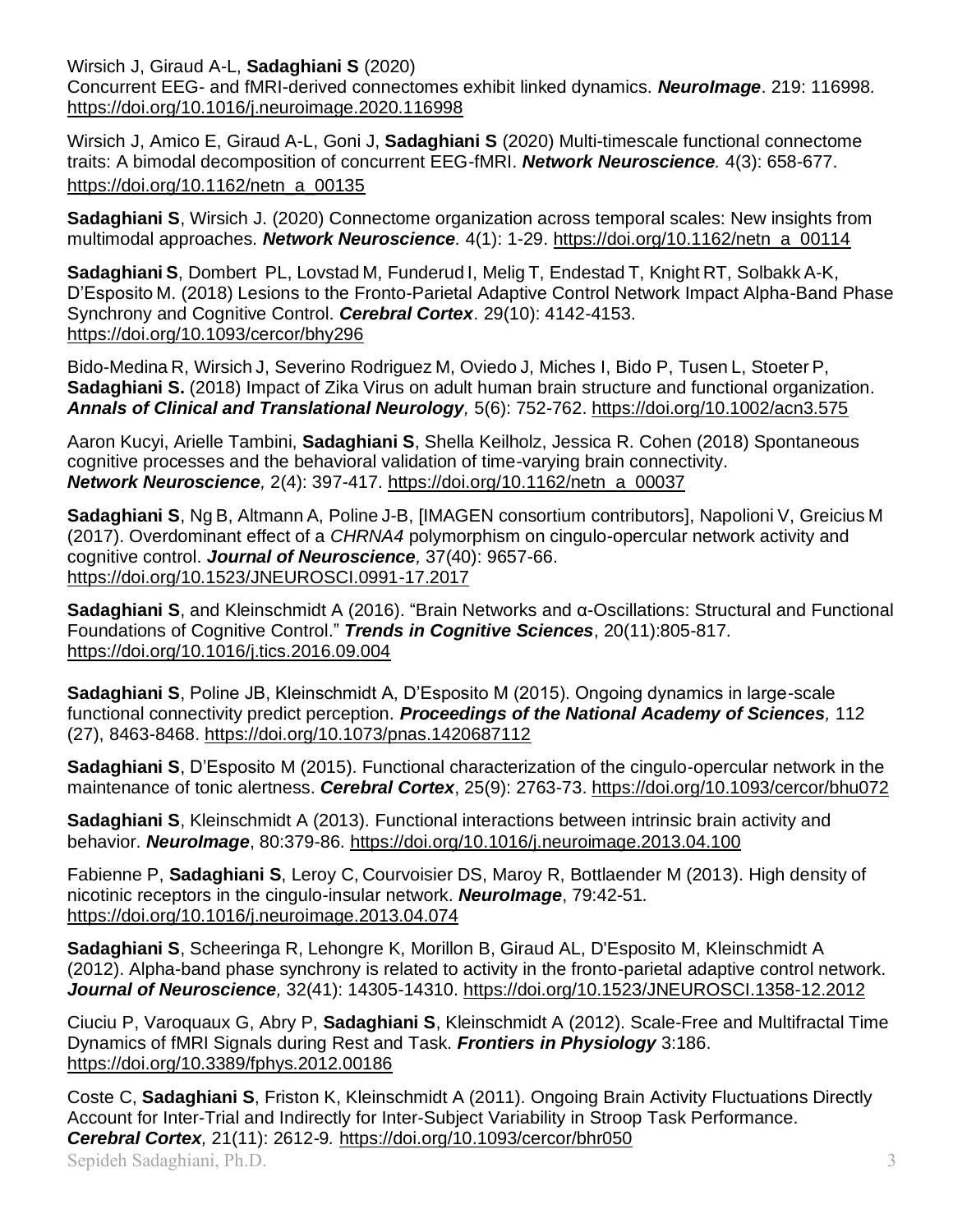Wirsich J, Giraud A-L, **Sadaghiani S** (2020)

Concurrent EEG- and fMRI-derived connectomes exhibit linked dynamics. *NeuroImage*. 219: 116998*.* <https://doi.org/10.1016/j.neuroimage.2020.116998>

Wirsich J, Amico E, Giraud A-L, Goni J, **Sadaghiani S** (2020) Multi-timescale functional connectome traits: A bimodal decomposition of concurrent EEG-fMRI. *Network Neuroscience.* 4(3): 658-677. [https://doi.org/10.1162/netn\\_a\\_00135](https://doi.org/10.1162/netn_a_00135)

**Sadaghiani S**, Wirsich J. (2020) Connectome organization across temporal scales: New insights from multimodal approaches. *Network Neuroscience.* 4(1): 1-29. [https://doi.org/10.1162/netn\\_a\\_00114](https://doi.org/10.1162/netn_a_00114)

**Sadaghiani S**, Dombert PL, Lovstad M, Funderud I, Melig T, Endestad T, Knight RT, Solbakk A-K, D'Esposito M. (2018) Lesions to the Fronto-Parietal Adaptive Control Network Impact Alpha-Band Phase Synchrony and Cognitive Control. *Cerebral Cortex*. 29(10): 4142-4153. <https://doi.org/10.1093/cercor/bhy296>

Bido-Medina R, Wirsich J, Severino Rodriguez M, Oviedo J, Miches I, Bido P, Tusen L, Stoeter P, **Sadaghiani S.** (2018) Impact of Zika Virus on adult human brain structure and functional organization. *Annals of Clinical and Translational Neurology,* 5(6): 752-762.<https://doi.org/10.1002/acn3.575>

Aaron Kucyi, Arielle Tambini, **Sadaghiani S**, Shella Keilholz, Jessica R. Cohen (2018) Spontaneous cognitive processes and the behavioral validation of time-varying brain connectivity. *Network Neuroscience,* 2(4): 397-417. [https://doi.org/10.1162/netn\\_a\\_00037](https://doi.org/10.1162/netn_a_00037)

**Sadaghiani S**, Ng B, Altmann A, Poline J-B, [IMAGEN consortium contributors], Napolioni V, Greicius M (2017). Overdominant effect of a *CHRNA4* polymorphism on cingulo-opercular network activity and cognitive control. *Journal of Neuroscience,* 37(40): 9657-66. <https://doi.org/10.1523/JNEUROSCI.0991-17.2017>

**Sadaghiani S**, and Kleinschmidt A (2016). "Brain Networks and α-Oscillations: Structural and Functional Foundations of Cognitive Control." *Trends in Cognitive Sciences*, 20(11):805-817. <https://doi.org/10.1016/j.tics.2016.09.004>

**Sadaghiani S**, Poline JB, Kleinschmidt A, D'Esposito M (2015). Ongoing dynamics in large-scale functional connectivity predict perception. *Proceedings of the National Academy of Sciences,* 112 (27), 8463-8468. <https://doi.org/10.1073/pnas.1420687112>

**Sadaghiani S**, D'Esposito M (2015). Functional characterization of the cingulo-opercular network in the maintenance of tonic alertness. *Cerebral Cortex*, 25(9): 2763-73. <https://doi.org/10.1093/cercor/bhu072>

**Sadaghiani S**, Kleinschmidt A (2013). Functional interactions between intrinsic brain activity and behavior. *NeuroImage*, 80:379-86. <https://doi.org/10.1016/j.neuroimage.2013.04.100>

Fabienne P, **Sadaghiani S**, Leroy C, Courvoisier DS, Maroy R, Bottlaender M (2013). High density of nicotinic receptors in the cingulo-insular network. *NeuroImage*, 79:42-51*.*  <https://doi.org/10.1016/j.neuroimage.2013.04.074>

**Sadaghiani S**, Scheeringa R, Lehongre K, Morillon B, Giraud AL, D'Esposito M, Kleinschmidt A (2012). Alpha-band phase synchrony is related to activity in the fronto-parietal adaptive control network. *Journal of Neuroscience,* 32(41): 14305-14310.<https://doi.org/10.1523/JNEUROSCI.1358-12.2012>

Ciuciu P, Varoquaux G, Abry P, **Sadaghiani S**, Kleinschmidt A (2012). Scale-Free and Multifractal Time Dynamics of fMRI Signals during Rest and Task. *Frontiers in Physiology* 3:186. <https://doi.org/10.3389/fphys.2012.00186>

Sepideh Sadaghiani, Ph.D. 3 Coste C, **Sadaghiani S**, Friston K, Kleinschmidt A (2011). Ongoing Brain Activity Fluctuations Directly Account for Inter-Trial and Indirectly for Inter-Subject Variability in Stroop Task Performance. *Cerebral Cortex,* 21(11): 2612-9*.* <https://doi.org/10.1093/cercor/bhr050>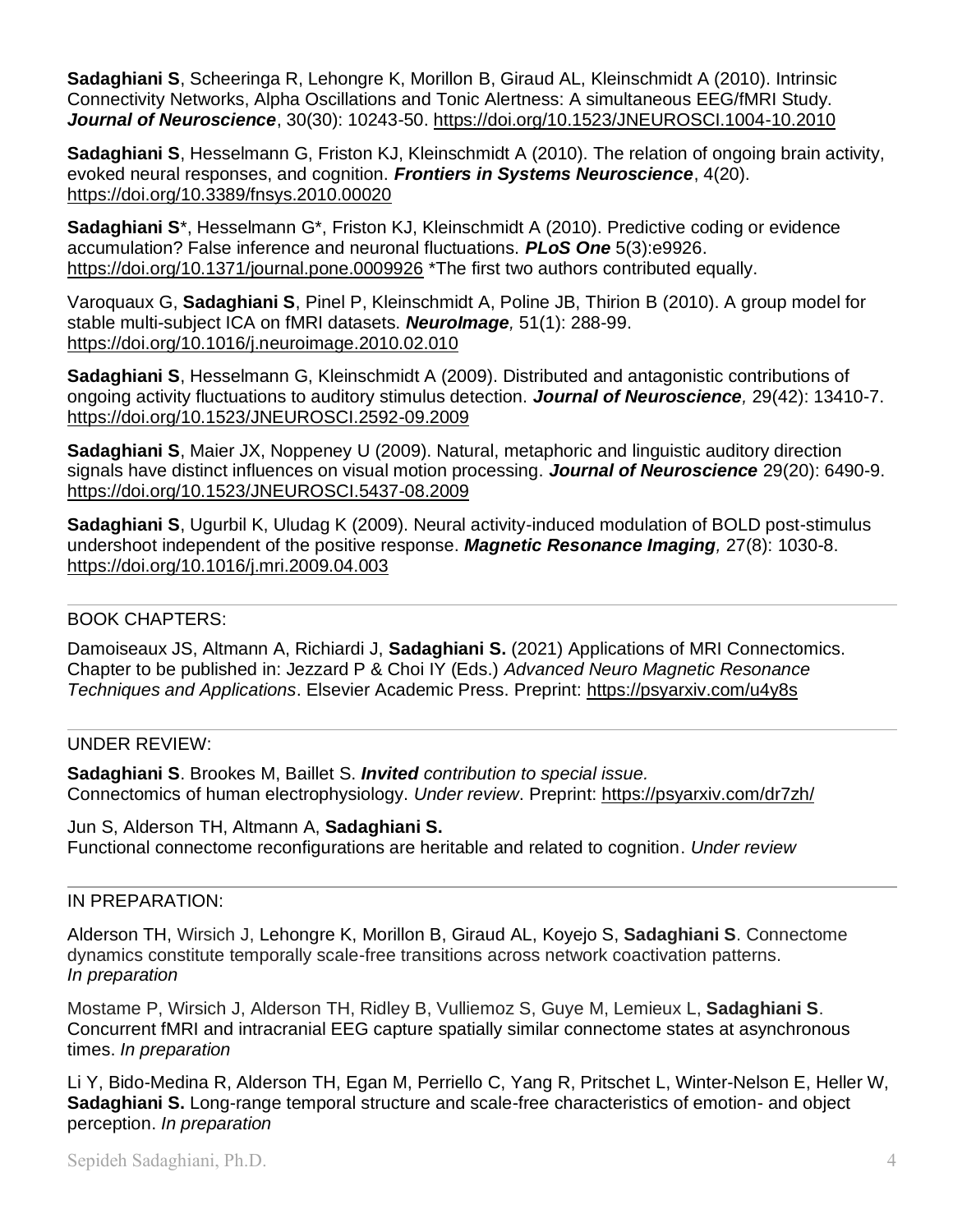**Sadaghiani S**, Scheeringa R, Lehongre K, Morillon B, Giraud AL, Kleinschmidt A (2010). Intrinsic Connectivity Networks, Alpha Oscillations and Tonic Alertness: A simultaneous EEG/fMRI Study. *Journal of Neuroscience*, 30(30): 10243-50. <https://doi.org/10.1523/JNEUROSCI.1004-10.2010>

**Sadaghiani S**, Hesselmann G, Friston KJ, Kleinschmidt A (2010). The relation of ongoing brain activity, evoked neural responses, and cognition. *Frontiers in Systems Neuroscience*, 4(20). <https://doi.org/10.3389/fnsys.2010.00020>

**Sadaghiani S**\*, Hesselmann G\*, Friston KJ, Kleinschmidt A (2010). Predictive coding or evidence accumulation? False inference and neuronal fluctuations. *PLoS One* 5(3):e9926. <https://doi.org/10.1371/journal.pone.0009926> \*The first two authors contributed equally.

Varoquaux G, **Sadaghiani S**, Pinel P, Kleinschmidt A, Poline JB, Thirion B (2010). A group model for stable multi-subject ICA on fMRI datasets. *NeuroImage,* 51(1): 288-99. <https://doi.org/10.1016/j.neuroimage.2010.02.010>

**Sadaghiani S**, Hesselmann G, Kleinschmidt A (2009). Distributed and antagonistic contributions of ongoing activity fluctuations to auditory stimulus detection. *Journal of Neuroscience,* 29(42): 13410-7. <https://doi.org/10.1523/JNEUROSCI.2592-09.2009>

**Sadaghiani S**, Maier JX, Noppeney U (2009). Natural, metaphoric and linguistic auditory direction signals have distinct influences on visual motion processing. *Journal of Neuroscience* 29(20): 6490-9. <https://doi.org/10.1523/JNEUROSCI.5437-08.2009>

**Sadaghiani S**, Ugurbil K, Uludag K (2009). Neural activity-induced modulation of BOLD post-stimulus undershoot independent of the positive response. *Magnetic Resonance Imaging,* 27(8): 1030-8. <https://doi.org/10.1016/j.mri.2009.04.003>

### BOOK CHAPTERS:

Damoiseaux JS, Altmann A, Richiardi J, **Sadaghiani S.** (2021) Applications of MRI Connectomics. Chapter to be published in: Jezzard P & Choi IY (Eds.) *Advanced Neuro Magnetic Resonance Techniques and Applications*. Elsevier Academic Press. Preprint:<https://psyarxiv.com/u4y8s>

### UNDER REVIEW:

**Sadaghiani S**. Brookes M, Baillet S. *Invited contribution to special issue.* Connectomics of human electrophysiology. *Under review*. Preprint:<https://psyarxiv.com/dr7zh/>

Jun S, Alderson TH, Altmann A, **Sadaghiani S.** Functional connectome reconfigurations are heritable and related to cognition. *Under review*

### IN PREPARATION:

Alderson TH, Wirsich J, Lehongre K, Morillon B, Giraud AL, Koyejo S, **Sadaghiani S**. Connectome dynamics constitute temporally scale-free transitions across network coactivation patterns. *In preparation*

Mostame P, Wirsich J, Alderson TH, Ridley B, Vulliemoz S, Guye M, Lemieux L, **Sadaghiani S**. Concurrent fMRI and intracranial EEG capture spatially similar connectome states at asynchronous times. *In preparation*

Li Y, Bido-Medina R, Alderson TH, Egan M, Perriello C, Yang R, Pritschet L, Winter-Nelson E, Heller W, **Sadaghiani S.** Long-range temporal structure and scale-free characteristics of emotion- and object perception. *In preparation*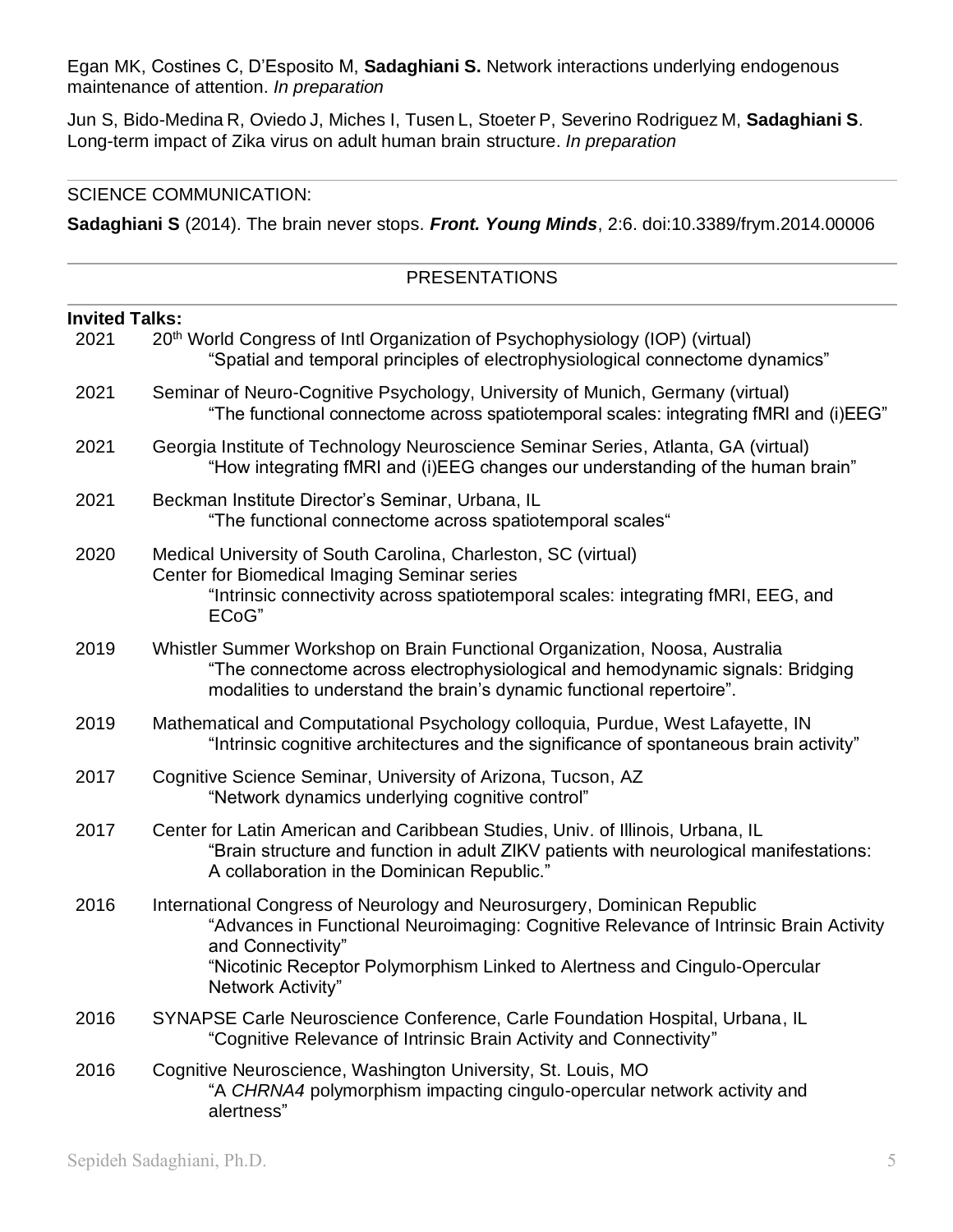Egan MK, Costines C, D'Esposito M, **Sadaghiani S.** Network interactions underlying endogenous maintenance of attention. *In preparation*

Jun S, Bido-Medina R, Oviedo J, Miches I, Tusen L, Stoeter P, Severino Rodriguez M, **Sadaghiani S**. Long-term impact of Zika virus on adult human brain structure. *In preparation*

#### SCIENCE COMMUNICATION:

**Sadaghiani S** (2014). The brain never stops. *Front. Young Minds*, 2:6. doi:10.3389/frym.2014.00006

#### PRESENTATIONS

| <b>Invited Talks:</b> |                                                                                                                                                                                                                                                                                           |  |
|-----------------------|-------------------------------------------------------------------------------------------------------------------------------------------------------------------------------------------------------------------------------------------------------------------------------------------|--|
| 2021                  | 20 <sup>th</sup> World Congress of Intl Organization of Psychophysiology (IOP) (virtual)<br>"Spatial and temporal principles of electrophysiological connectome dynamics"                                                                                                                 |  |
| 2021                  | Seminar of Neuro-Cognitive Psychology, University of Munich, Germany (virtual)<br>"The functional connectome across spatiotemporal scales: integrating fMRI and (i)EEG"                                                                                                                   |  |
| 2021                  | Georgia Institute of Technology Neuroscience Seminar Series, Atlanta, GA (virtual)<br>"How integrating fMRI and (i)EEG changes our understanding of the human brain"                                                                                                                      |  |
| 2021                  | Beckman Institute Director's Seminar, Urbana, IL<br>"The functional connectome across spatiotemporal scales"                                                                                                                                                                              |  |
| 2020                  | Medical University of South Carolina, Charleston, SC (virtual)<br>Center for Biomedical Imaging Seminar series<br>"Intrinsic connectivity across spatiotemporal scales: integrating fMRI, EEG, and<br>ECoG"                                                                               |  |
| 2019                  | Whistler Summer Workshop on Brain Functional Organization, Noosa, Australia<br>"The connectome across electrophysiological and hemodynamic signals: Bridging<br>modalities to understand the brain's dynamic functional repertoire".                                                      |  |
| 2019                  | Mathematical and Computational Psychology colloquia, Purdue, West Lafayette, IN<br>"Intrinsic cognitive architectures and the significance of spontaneous brain activity"                                                                                                                 |  |
| 2017                  | Cognitive Science Seminar, University of Arizona, Tucson, AZ<br>"Network dynamics underlying cognitive control"                                                                                                                                                                           |  |
| 2017                  | Center for Latin American and Caribbean Studies, Univ. of Illinois, Urbana, IL<br>"Brain structure and function in adult ZIKV patients with neurological manifestations:<br>A collaboration in the Dominican Republic."                                                                   |  |
| 2016                  | International Congress of Neurology and Neurosurgery, Dominican Republic<br>"Advances in Functional Neuroimaging: Cognitive Relevance of Intrinsic Brain Activity<br>and Connectivity"<br>"Nicotinic Receptor Polymorphism Linked to Alertness and Cingulo-Opercular<br>Network Activity" |  |
| 2016                  | SYNAPSE Carle Neuroscience Conference, Carle Foundation Hospital, Urbana, IL<br>"Cognitive Relevance of Intrinsic Brain Activity and Connectivity"                                                                                                                                        |  |
| 2016                  | Cognitive Neuroscience, Washington University, St. Louis, MO<br>"A CHRNA4 polymorphism impacting cingulo-opercular network activity and<br>alertness"                                                                                                                                     |  |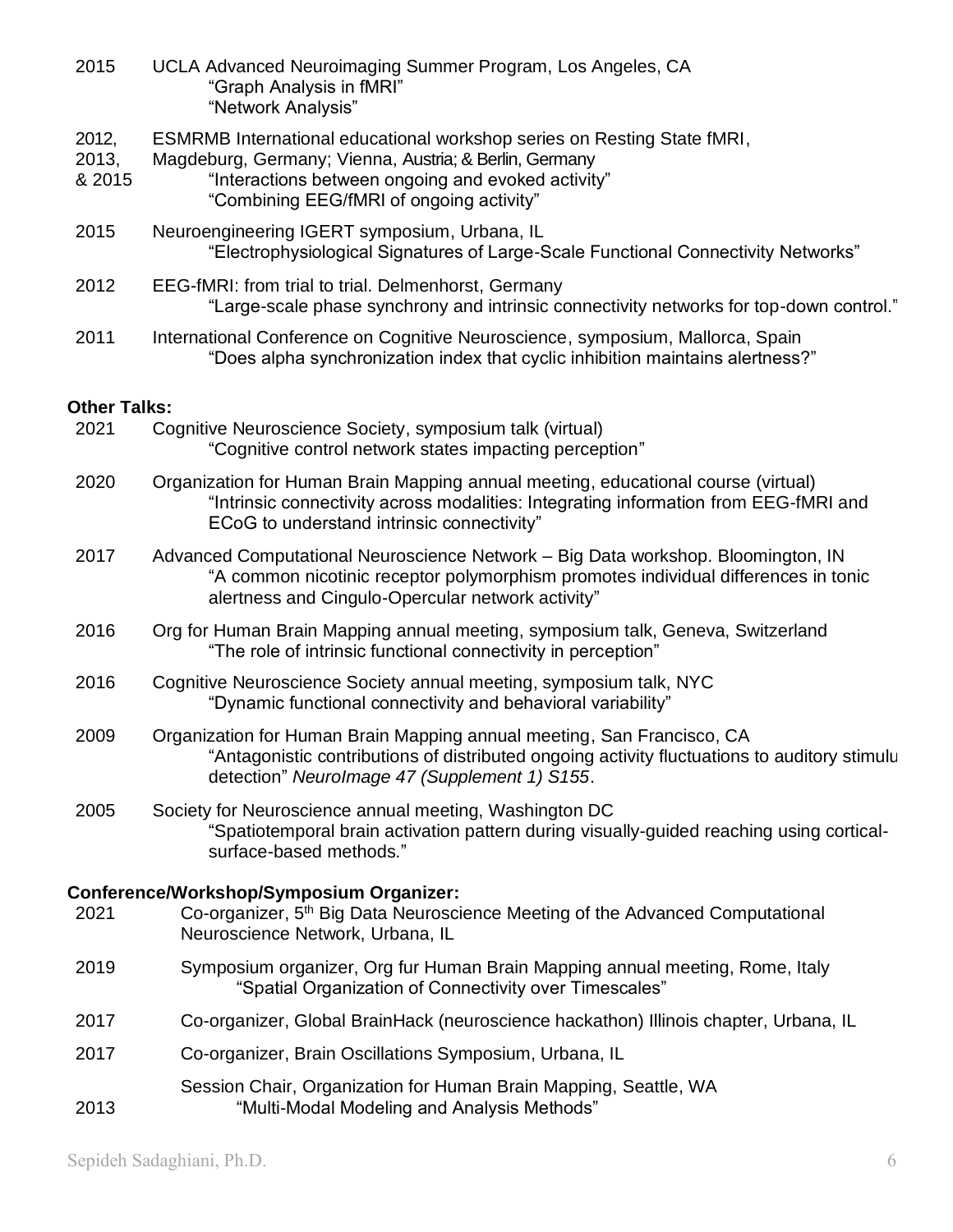|                          | "Graph Analysis in fMRI"<br>"Network Analysis"                                                                                                                                                                                      |
|--------------------------|-------------------------------------------------------------------------------------------------------------------------------------------------------------------------------------------------------------------------------------|
| 2012,<br>2013,<br>& 2015 | ESMRMB International educational workshop series on Resting State fMRI,<br>Magdeburg, Germany; Vienna, Austria; & Berlin, Germany<br>"Interactions between ongoing and evoked activity"<br>"Combining EEG/fMRI of ongoing activity" |
| 2015                     | Neuroengineering IGERT symposium, Urbana, IL<br>"Electrophysiological Signatures of Large-Scale Functional Connectivity Networks"                                                                                                   |
| 2012                     | EEG-fMRI: from trial to trial. Delmenhorst, Germany<br>"Large-scale phase synchrony and intrinsic connectivity networks for top-down control."                                                                                      |
| 2011                     | International Conference on Cognitive Neuroscience, symposium, Mallorca, Spain<br>"Does alpha synchronization index that cyclic inhibition maintains alertness?"                                                                    |
| <b>Other Talks:</b>      |                                                                                                                                                                                                                                     |
| 2021                     | Cognitive Neuroscience Society, symposium talk (virtual)<br>"Cognitive control network states impacting perception"                                                                                                                 |
| 2020                     | Organization for Human Brain Mapping annual meeting, educational course (virtual)<br>"Intrinsic connectivity across modalities: Integrating information from EEG-fMRI and<br>ECoG to understand intrinsic connectivity"             |
| 2017                     | Advanced Computational Neuroscience Network - Big Data workshop. Bloomington, IN<br>"A common nicotinic receptor polymorphism promotes individual differences in tonic<br>alertness and Cingulo-Opercular network activity"         |
| 2016                     | Org for Human Brain Mapping annual meeting, symposium talk, Geneva, Switzerland<br>"The role of intrinsic functional connectivity in perception"                                                                                    |
| 2016                     | Cognitive Neuroscience Society annual meeting, symposium talk, NYC<br>"Dynamic functional connectivity and behavioral variability"                                                                                                  |
| 2009                     | Organization for Human Brain Mapping annual meeting, San Francisco, CA<br>"Antagonistic contributions of distributed ongoing activity fluctuations to auditory stimulu<br>detection" Neurolmage 47 (Supplement 1) S155.             |
| 2005                     | Society for Neuroscience annual meeting, Washington DC<br>"Spatiotemporal brain activation pattern during visually-guided reaching using cortical-<br>surface-based methods."                                                       |
| 2021                     | Conference/Workshop/Symposium Organizer:<br>Co-organizer, 5 <sup>th</sup> Big Data Neuroscience Meeting of the Advanced Computational<br>Neuroscience Network, Urbana, IL                                                           |
| 2019                     | Symposium organizer, Org fur Human Brain Mapping annual meeting, Rome, Italy<br>"Spatial Organization of Connectivity over Timescales"                                                                                              |
| 2017                     | Co-organizer, Global BrainHack (neuroscience hackathon) Illinois chapter, Urbana, IL                                                                                                                                                |
| 2017                     | Co-organizer, Brain Oscillations Symposium, Urbana, IL                                                                                                                                                                              |
| 2013                     | Session Chair, Organization for Human Brain Mapping, Seattle, WA<br>"Multi-Modal Modeling and Analysis Methods"                                                                                                                     |
|                          |                                                                                                                                                                                                                                     |

2015 UCLA Advanced Neuroimaging Summer Program, Los Angeles, CA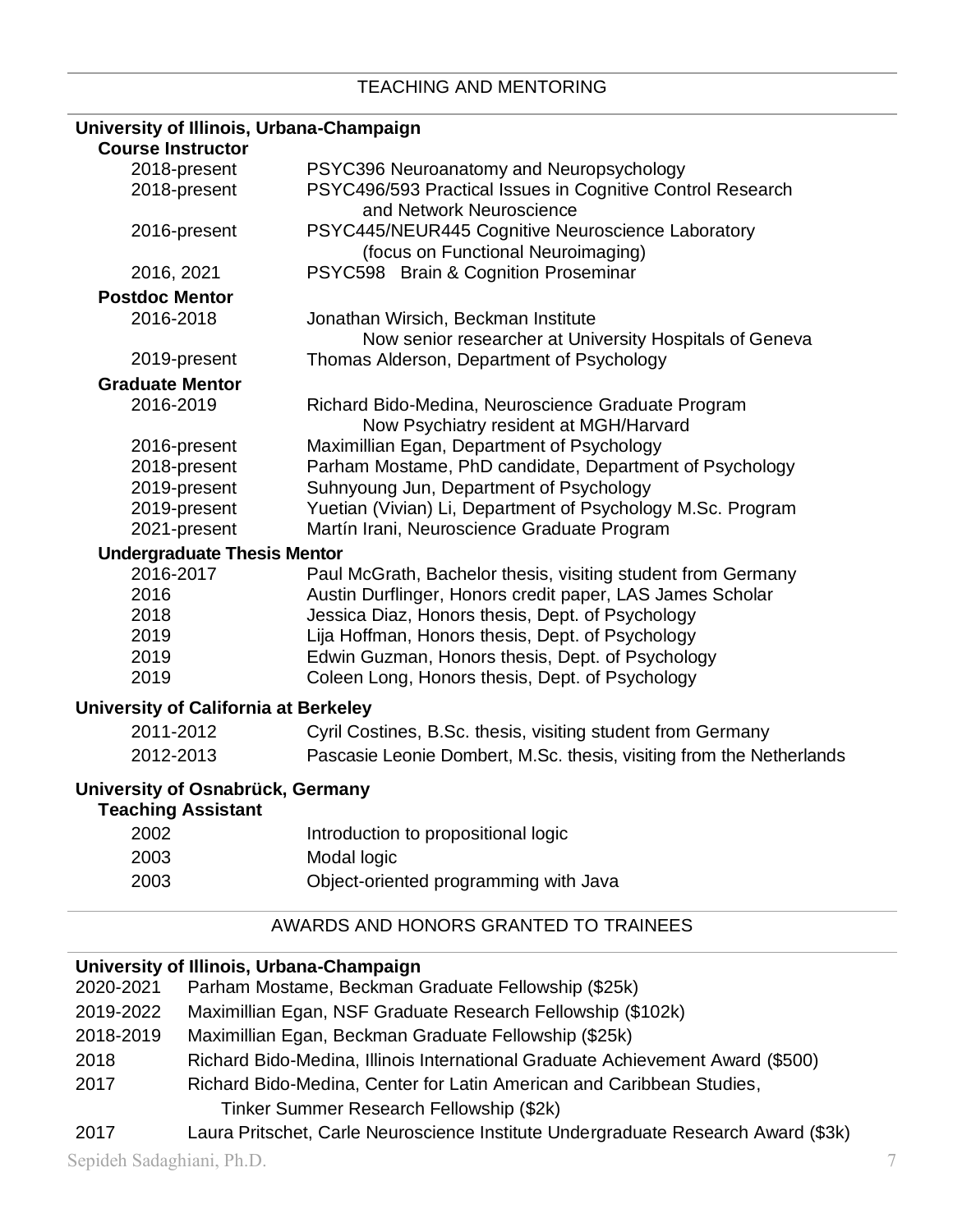# **University of Illinois, Urbana-Champaign**

| <b>Course Instructor</b>                                      |                                                                                                |
|---------------------------------------------------------------|------------------------------------------------------------------------------------------------|
| 2018-present                                                  | PSYC396 Neuroanatomy and Neuropsychology                                                       |
| 2018-present                                                  | PSYC496/593 Practical Issues in Cognitive Control Research<br>and Network Neuroscience         |
| 2016-present                                                  | PSYC445/NEUR445 Cognitive Neuroscience Laboratory<br>(focus on Functional Neuroimaging)        |
| 2016, 2021                                                    | PSYC598 Brain & Cognition Proseminar                                                           |
| <b>Postdoc Mentor</b>                                         |                                                                                                |
| 2016-2018                                                     | Jonathan Wirsich, Beckman Institute<br>Now senior researcher at University Hospitals of Geneva |
| 2019-present                                                  | Thomas Alderson, Department of Psychology                                                      |
| <b>Graduate Mentor</b>                                        |                                                                                                |
| 2016-2019                                                     | Richard Bido-Medina, Neuroscience Graduate Program<br>Now Psychiatry resident at MGH/Harvard   |
| 2016-present                                                  | Maximillian Egan, Department of Psychology                                                     |
| 2018-present                                                  | Parham Mostame, PhD candidate, Department of Psychology                                        |
| 2019-present                                                  | Suhnyoung Jun, Department of Psychology                                                        |
| 2019-present                                                  | Yuetian (Vivian) Li, Department of Psychology M.Sc. Program                                    |
| 2021-present                                                  | Martín Irani, Neuroscience Graduate Program                                                    |
| <b>Undergraduate Thesis Mentor</b>                            |                                                                                                |
| 2016-2017                                                     | Paul McGrath, Bachelor thesis, visiting student from Germany                                   |
| 2016                                                          | Austin Durflinger, Honors credit paper, LAS James Scholar                                      |
| 2018                                                          | Jessica Diaz, Honors thesis, Dept. of Psychology                                               |
| 2019                                                          | Lija Hoffman, Honors thesis, Dept. of Psychology                                               |
| 2019                                                          | Edwin Guzman, Honors thesis, Dept. of Psychology                                               |
| 2019                                                          | Coleen Long, Honors thesis, Dept. of Psychology                                                |
| University of California at Berkeley                          |                                                                                                |
| 2011-2012                                                     | Cyril Costines, B.Sc. thesis, visiting student from Germany                                    |
| 2012-2013                                                     | Pascasie Leonie Dombert, M.Sc. thesis, visiting from the Netherlands                           |
| University of Osnabrück, Germany<br><b>Teaching Assistant</b> |                                                                                                |
| 2002                                                          | Introduction to propositional logic                                                            |
|                                                               |                                                                                                |

2003 Modal logic

## 2003 Object-oriented programming with Java

## AWARDS AND HONORS GRANTED TO TRAINEES

## **University of Illinois, Urbana-Champaign**

| 2020-2021 | Parham Mostame, Beckman Graduate Fellowship (\$25k)                            |
|-----------|--------------------------------------------------------------------------------|
| 2019-2022 | Maximillian Egan, NSF Graduate Research Fellowship (\$102k)                    |
| 2018-2019 | Maximillian Egan, Beckman Graduate Fellowship (\$25k)                          |
| 2018      | Richard Bido-Medina, Illinois International Graduate Achievement Award (\$500) |
| 2017      | Richard Bido-Medina, Center for Latin American and Caribbean Studies,          |
|           | Tinker Summer Research Fellowship (\$2k)                                       |

2017 Laura Pritschet, Carle Neuroscience Institute Undergraduate Research Award (\$3k)

Sepideh Sadaghiani, Ph.D. 7